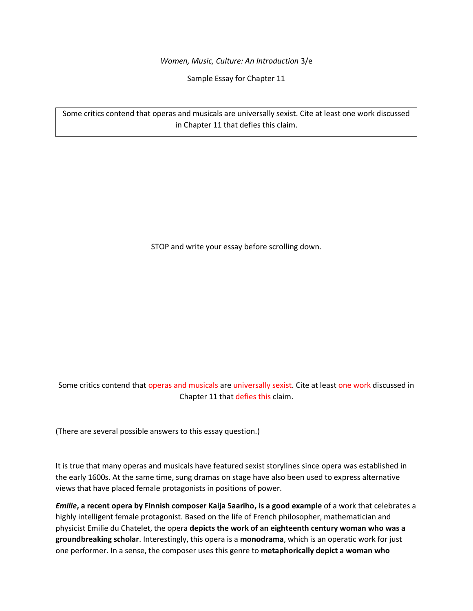*Women, Music, Culture: An Introduction* 3/e

Sample Essay for Chapter 11

Some critics contend that operas and musicals are universally sexist. Cite at least one work discussed in Chapter 11 that defies this claim.

STOP and write your essay before scrolling down.

Some critics contend that operas and musicals are universally sexist. Cite at least one work discussed in Chapter 11 that defies this claim.

(There are several possible answers to this essay question.)

It is true that many operas and musicals have featured sexist storylines since opera was established in the early 1600s. At the same time, sung dramas on stage have also been used to express alternative views that have placed female protagonists in positions of power.

*Emilie***, a recent opera by Finnish composer Kaija Saariho, is a good example** of a work that celebrates a highly intelligent female protagonist. Based on the life of French philosopher, mathematician and physicist Emilie du Chatelet, the opera **depicts the work of an eighteenth century woman who was a groundbreaking scholar**. Interestingly, this opera is a **monodrama**, which is an operatic work for just one performer. In a sense, the composer uses this genre to **metaphorically depict a woman who**